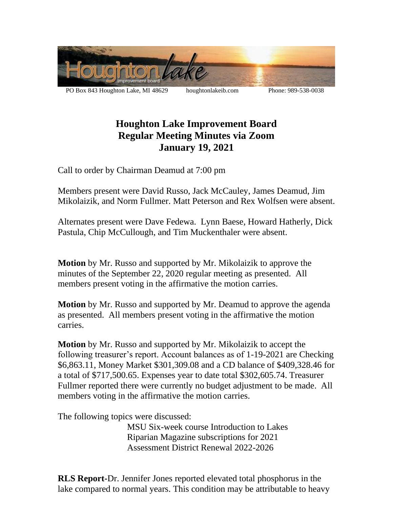

PO Box 843 Houghton Lake, MI 48629 houghtonlakeib.com Phone: 989-538-0038

## **Houghton Lake Improvement Board Regular Meeting Minutes via Zoom January 19, 2021**

Call to order by Chairman Deamud at 7:00 pm

Members present were David Russo, Jack McCauley, James Deamud, Jim Mikolaizik, and Norm Fullmer. Matt Peterson and Rex Wolfsen were absent.

Alternates present were Dave Fedewa. Lynn Baese, Howard Hatherly, Dick Pastula, Chip McCullough, and Tim Muckenthaler were absent.

**Motion** by Mr. Russo and supported by Mr. Mikolaizik to approve the minutes of the September 22, 2020 regular meeting as presented. All members present voting in the affirmative the motion carries.

**Motion** by Mr. Russo and supported by Mr. Deamud to approve the agenda as presented. All members present voting in the affirmative the motion carries.

**Motion** by Mr. Russo and supported by Mr. Mikolaizik to accept the following treasurer's report. Account balances as of 1-19-2021 are Checking \$6,863.11, Money Market \$301,309.08 and a CD balance of \$409,328.46 for a total of \$717,500.65. Expenses year to date total \$302,605.74. Treasurer Fullmer reported there were currently no budget adjustment to be made. All members voting in the affirmative the motion carries.

The following topics were discussed:

MSU Six-week course Introduction to Lakes Riparian Magazine subscriptions for 2021 Assessment District Renewal 2022-2026

**RLS Report-**Dr. Jennifer Jones reported elevated total phosphorus in the lake compared to normal years. This condition may be attributable to heavy